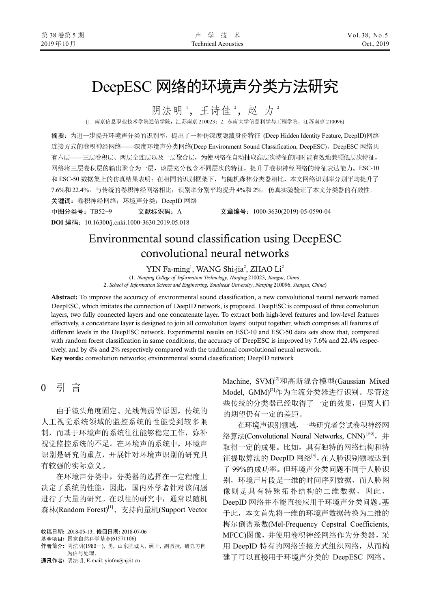# DeepESC 网络的环境声分类方法研究

阴法明',王诗佳<sup>2</sup>,赵力<sup>2</sup>

(1. 南京信息职业技术学院通信学院,江苏南京 210023;2. 东南大学信息科学与工程学院,江苏南京 210096)

摘要:为进一步提升环境声分类的识别率,提出了一种仿深度隐藏身份特征 (Deep Hidden Identity Feature, DeepID)网络 连接方式的卷积神经网络——深度环境声分类网络(Deep Environment Sound Classification, DeepESC)。DeepESC 网络共 有六层——三层卷积层、两层全连层以及一层聚合层,为使网络在自动抽取高层次特征的同时能有效地兼顾低层次特征, 网络将三层卷积层的输出聚合为一层,该层充分包含不同层次的特征,提升了卷积神经网络的特征表达能力。ESC-10 和 ESC-50 数据集上的仿真结果表明: 在相同的识别框架下, 与随机森林分类器相比, 本文网络识别率分别平均提升了 7.6%和 22.4%,与传统的卷积神经网络相比,识别率分别平均提升 4%和 2%,仿真实验验证了本文分类器的有效性。 关键词:卷积神经网络;环境声分类;DeepID 网络

中图分类号:TB52+9 文献标识码:A 文章编号:1000-3630(2019)-05-0590-04

**DOI** 编码:10.16300/j.cnki.1000-3630.2019.05.018

# Environmental sound classification using DeepESC convolutional neural networks

YIN Fa-ming<sup>1</sup>, WANG Shi-jia<sup>2</sup>, ZHAO Li<sup>2</sup>

(1. *Nanjing College of Information Technology*, *Nanjing* 210023, *Jiangsu*, *China*; 2. *School of Information Science and Engineering, Southeast University*, *Nanjing* 210096, *Jiangsu*, *China*)

**Abstract:** To improve the accuracy of environmental sound classification, a new convolutional neural network named DeepESC, which imitates the connection of DeepID network, is proposed. DeepESC is composed of three convolution layers, two fully connected layers and one concatenate layer. To extract both high-level features and low-level features effectively, a concatenate layer is designed to join all convolution layers' output together, which comprises all features of different levels in the DeepESC network. Experimental results on ESC-10 and ESC-50 data sets show that, compared with random forest classification in same conditions, the accuracy of DeepESC is improved by 7.6% and 22.4% respectively, and by 4% and 2% respectively compared with the traditional convolutional neural network.

**Key words:** convolution networks; environmental sound classification; DeepID network

0 引 言<sup>1</sup>

j

由于镜头角度固定、光线偏弱等原因,传统的 人工视觉系统领域的监控系统的性能受到较多限 制,而基于环境声的系统往往能够稳定工作,弥补 视觉监控系统的不足。在环境声的系统中,环境声 识别是研究的重点,开展针对环境声识别的研究具 有较强的实际意义。

在环境声分类中,分类器的选择在一定程度上 决定了系统的性能,因此,国内外学者针对该问题 进行了大量的研究。在以往的研究中,通常以随机 森林(Random Forest)<sup>[1]</sup>、支持向量机(Support Vector

Machine, SVM)<sup>[2]</sup>和高斯混合模型(Gaussian Mixed Model, GMM)[2]作为主流分类器进行识别。尽管这 些传统的分类器已经取得了一定的效果,但离人们 的期望仍有一定的差距。

在环境声识别领域,一些研究者尝试卷积神经网 络算法(Convolutional Neural Networks, CNN)<sup>[3-5]</sup>, 并 取得一定的成果。比如,具有独特的网络结构和特 征提取算法的 DeepID 网络<sup>[4]</sup>, 在人脸识别领域达到 了 99%的成功率。但环境声分类问题不同于人脸识 别,环境声片段是一维的时间序列数据,而人脸图 像则是具有特殊拓扑结构的二维数据,因此, DeepID 网络并不能直接应用于环境声分类问题。基 于此,本文首先将一维的环境声数据转换为二维的 梅尔倒谱系数(Mel-Frequency Cepstral Coefficients, MFCC)图像,并使用卷积神经网络作为分类器,采 用 DeepID 特有的网络连接方式组织网络, 从而构 建了可以直接用于环境声分类的 DeepESC 网络。

收稿日期**:** 2018-05-13; 修回日期**:** 2018-07-06

基金项目**:** 国家自然科学基金(61571106)

作者简介**:** 阴法明(1980-), 男, 山东肥城人, 硕士, 副教授, 研究方向 为信号处理。

通讯作者**:** 阴法明, E-mail: yinfm@njcit.cn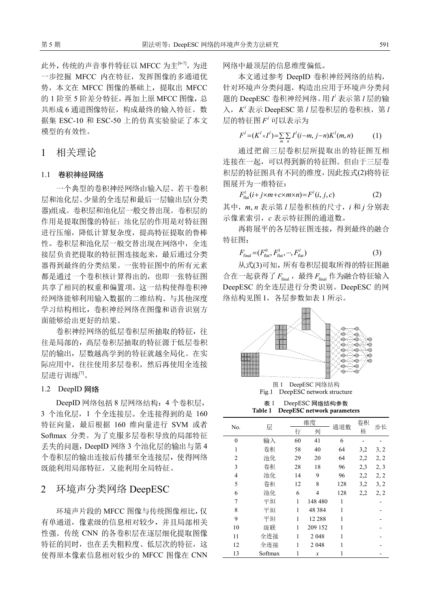此外,传统的声音事件特征以 MFCC 为主<sup>[6-7]</sup>, 为进 一步挖掘 MFCC 内在特征,发挥图像的多通道优 势,本文在 MFCC 图像的基础上,提取出 MFCC 的 1 阶至 5 阶差分特征,再加上原 MFCC 图像,总 共形成 6 通道图像特征,构成最终的输入特征。数 据集 ESC-10 和 ESC-50 上的仿真实验验证了本文 模型的有效性。

# 1 相关理论

#### 1.1 卷积神经网络

一个典型的卷积神经网络由输入层、若干卷积 层和池化层、少量的全连层和最后一层输出层(分类 器)组成。卷积层和池化层一般交替出现。卷积层的 作用是提取图像的特征;池化层的作用是对特征图 进行压缩,降低计算复杂度,提高特征提取的鲁棒 性。卷积层和池化层一般交替出现在网络中,全连 接层负责把提取的特征图连接起来,最后通过分类 器得到最终的分类结果。一张特征图中的所有元素 都是通过一个卷积核计算得出的,也即一张特征图 共享了相同的权重和偏置项。这一结构使得卷积神 经网络能够利用输入数据的二维结构。与其他深度 学习结构相比,卷积神经网络在图像和语音识别方 面能够给出更好的结果。

卷积神经网络的低层卷积层所抽取的特征,往 往是局部的,高层卷积层抽取的特征源于低层卷积 层的输出,层数越高学到的特征就越全局化。在实 际应用中,往往使用多层卷积,然后再使用全连接 层进行训练[7]。

### 1.2 DeepID 网络

DeepID 网络包括 8 层网络结构:4 个卷积层, 3 个池化层,1 个全连接层。全连接得到的是 160 特征向量,最后根据 160 维向量进行 SVM 或者 Softmax 分类。为了克服多层卷积导致的局部特征 丢失的问题,DeepID 网络 3 个池化层的输出与第 4 个卷积层的输出连接后传播至全连接层,使得网络 既能利用局部特征,又能利用全局特征。

# 2 环境声分类网络 DeepESC

环境声片段的 MFCC 图像与传统图像相比,仅 有单通道,像素级的信息相对较少,并且局部相关 性强。传统 CNN 的各卷积层在逐层细化提取图像 特征的同时,也在丢失粗粒度、低层次的特征,这 使得原本像素信息相对较少的 MFCC 图像在 CNN 网络中最顶层的信息维度偏低。

本文通过参考 DeepID 卷积神经网络的结构, 针对环境声分类问题,构造出应用于环境声分类问 题的 DeepESC 卷积神经网络。用 *<sup>l</sup> I* 表示第 *l* 层的输 入,  $K'$  表示 DeepESC 第 *l* 层卷积层的卷积核, 第 *l* 层的特征图 *<sup>l</sup> F* 可以表示为

$$
F^{l} = (K^{l} \times I^{l}) = \sum_{m} \sum_{n} I^{l} (i - m, j - n) K^{l} (m, n)
$$
 (1)

通过把前三层卷积层所提取出的特征图互相 连接在一起,可以得到新的特征图。但由于三层卷 积层的特征图具有不同的维度,因此按式(2)将特征 图展开为一维特征:

 $F_{\text{flat}}^{l}(i + j \times m + c \times m \times n) = F^{l}(i, j, c)$  (2)

其中,*m*, *n* 表示第 *l* 层卷积核的尺寸,*i* 和 *j* 分别表 示像素索引,*c* 表示特征图的通道数。

再将展平的各层特征图连接,得到最终的融合 特征图:

$$
F_{\text{final}} = (F_{\text{flat}}^0, F_{\text{flat}}^1, \cdots, F_{\text{flat}}^l)
$$
 (3)

从式(3)可知,所有卷积层提取所得的特征图融 合在一起获得了  $F_{\text{final}}$ , 最终  $F_{\text{final}}$ 作为融合特征输入 DeepESC 的全连层进行分类识别。DeepESC 的网 络结构见图 1,各层参数如表 1 所示。



图 1 DeepESC 网络结构 Fig.1 DeepESC network structure

表 1 DeepESC 网络结构参数



| No.            | 层       | 维度 |                | 通道数 | 卷积  | 步长   |
|----------------|---------|----|----------------|-----|-----|------|
|                |         | 行  | 列              |     | 核   |      |
| $\theta$       | 输入      | 60 | 41             | 6   |     |      |
| 1              | 卷积      | 58 | 40             | 64  | 3,2 | 3, 2 |
| $\overline{2}$ | 池化      | 29 | 20             | 64  | 2,2 | 2, 2 |
| 3              | 卷积      | 28 | 18             | 96  | 2,3 | 2, 3 |
| $\overline{4}$ | 池化      | 14 | 9              | 96  | 2,2 | 2, 2 |
| 5              | 卷积      | 12 | 8              | 128 | 3,2 | 3, 2 |
| 6              | 池化      | 6  | $\overline{4}$ | 128 | 2,2 | 2, 2 |
| 7              | 平坦      | 1  | 148 480        | 1   |     |      |
| 8              | 平坦      | 1  | 48 3 8 4       | 1   |     |      |
| 9              | 平坦      | 1  | 12 288         | 1   |     |      |
| 10             | 级联      | 1  | 209 152        | 1   |     |      |
| 11             | 全连接     | 1  | 2 0 4 8        | 1   |     |      |
| 12             | 全连接     | 1  | 2 0 4 8        | 1   |     |      |
| 13             | Softmax | 1  | x              |     |     |      |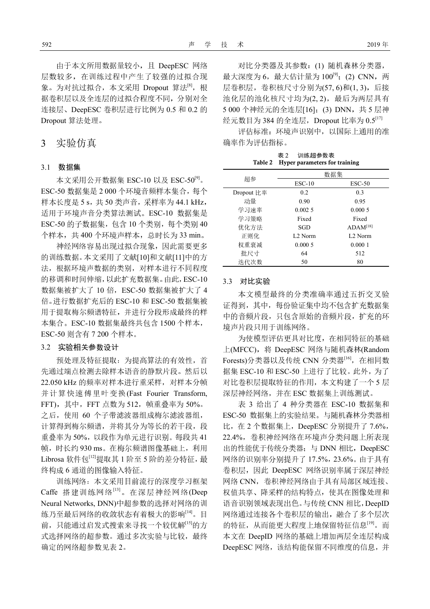由于本文所用数据量较小,且 DeepESC 网络 层数较多,在训练过程中产生了较强的过拟合现 象。为对抗过拟合,本文采用 Dropout 算法[8], 根 据卷积层以及全连层的过拟合程度不同,分别对全 连接层、DeepESC 卷积层进行比例为 0.5 和 0.2 的 Dropout 算法处理。

# 3 实验仿真

#### 3.1 数据集

本文采用公开数据集 ESC-10 以及 ESC-50[9]。 ESC-50 数据集是 2 000 个环境音频样本集合,每个 样本长度是 5 s, 共 50 类声音, 采样率为 44.1 kHz, 适用于环境声音分类算法测试。ESC-10 数据集是 ESC-50 的子数据集,包含 10 个类别,每个类别 40 个样本,共 400 个环境声样本,总时长为 33 min。

神经网络容易出现过拟合现象,因此需要更多 的训练数据。本文采用了文献[10]和文献[11]中的方 法,根据环境声数据的类别,对样本进行不同程度 的移调和时间伸缩,以此扩充数据集。由此,ESC-10 数据集被扩大了 10 倍, ESC-50 数据集被扩大了 4 倍。进行数据扩充后的 ESC-10 和 ESC-50 数据集被 用于提取梅尔频谱特征,并进行分段形成最终的样 本集合。ESC-10 数据集最终共包含 1500 个样本, ESC-50 则含有 7 200 个样本。

## 3.2 实验相关参数设计

预处理及特征提取:为提高算法的有效性,首 先通过端点检测去除样本语音的静默片段。然后以 22.050 kHz 的频率对样本进行重采样,对样本分帧 并计算快速傅里叶变换(Fast Fourier Transform, FFT), 其中, FFT 点数为 512, 帧重叠率为 50%。 之后,使用 60 个子带滤波器组成梅尔滤波器组, 计算得到梅尔频谱,并将其分为等长的若干段,段 重叠率为 50%,以段作为单元进行识别。每段共 41 帧,时长约 930 ms。在梅尔频谱图像基础上,利用 Librosa 软件包[12]提取其 1 阶至 5 阶的差分特征, 最 终构成 6 通道的图像输入特征。

训练网络:本文采用目前流行的深度学习框架 Caffe 搭建训练网络[13]。在深层神经网络(Deep Neural Networks, DNN)中超参数的选择对网络的训 练乃至最后网络的收敛状态有着极大的影响[14]。目 前,只能通过启发式搜索来寻找一个较优解<sup>[15]</sup>的方 式选择网络的超参数。通过多次实验与比较,最终 确定的网络超参数见表 2。

对比分类器及其参数:(1) 随机森林分类器, 最大深度为 6,最大估计量为 100<sup>[9]</sup>; (2) CNN,两 层卷积层,卷积核尺寸分别为(57, 6)和(1, 3),后接 池化层的池化核尺寸均为(2,2), 最后为两层具有 5 000 个神经元的全连层[16];(3) DNN, 共 5 层神 经元数目为 384 的全连层, Dropout 比率为 0.5[17]

评估标准:环境声识别中,以国际上通用的准 确率作为评估指标。

表 2 训练超参数表 **Table 2 Hyper parameters for training** 

|            | 数据集                 |                      |  |  |
|------------|---------------------|----------------------|--|--|
| 超参         | $ESC-10$            | $\text{ESC-50}$      |  |  |
| Dropout 比率 | 0.2                 | 0.3                  |  |  |
| 动量         | 0.90                | 0.95                 |  |  |
| 学习速率       | 0.002.5             | 0.0005               |  |  |
| 学习策略       | Fixed               | Fixed                |  |  |
| 优化方法       | SGD                 | ADAM <sup>[18]</sup> |  |  |
| 正则化        | L <sub>2</sub> Norm | L <sub>2</sub> Norm  |  |  |
| 权重衰减       | 0.0005              | 0.0001               |  |  |
| 批尺寸        | 64                  | 512                  |  |  |
| 迭代次数       | 50                  | 80                   |  |  |

#### 3.3 对比实验

本文模型最终的分类准确率通过五折交叉验 证得到,其中,每份验证集中均不包含扩充数据集 中的音频片段,只包含原始的音频片段,扩充的环 境声片段只用于训练网络。

为使模型评估更具对比度,在相同特征的基础 上(MFCC),将 DeepESC 网络与随机森林(Random Forests)分类器以及传统 CNN 分类器<sup>[16]</sup>, 在相同数 据集 ESC-10 和 ESC-50 上进行了比较。此外, 为了 对比卷积层提取特征的作用,本文构建了一个 5 层 深层神经网络,并在 ESC 数据集上训练测试。

表 3 给出了 4 种分类器在 ESC-10 数据集和 ESC-50 数据集上的实验结果。与随机森林分类器相 比, 在 2 个数据集上, DeepESC 分别提升了 7.6%, 22.4%,卷积神经网络在环境声分类问题上所表现 出的性能优于传统分类器;与 DNN 相比,DeepESC 网络的识别率分别提升了 17.5%,23.6%。由于具有 卷积层, 因此 DeepESC 网络识别率属于深层神经 网络 CNN,卷积神经网络由于具有局部区域连接、 权值共享、降采样的结构特点,使其在图像处理和 语音识别领域表现出色。与传统 CNN 相比,DeepID 网络通过连接各个卷积层的输出,融合了多个层次 的特征,从而能更大程度上地保留特征信息[19]。而 本文在 DeepID 网络的基础上增加两层全连层构成 DeepESC 网络,该结构能保留不同维度的信息,并